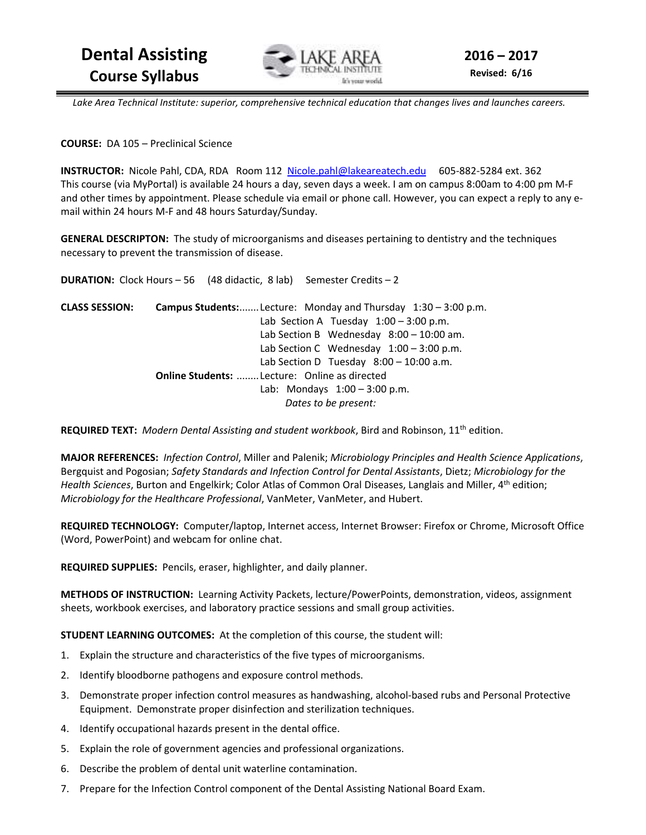

 *Lake Area Technical Institute: superior, comprehensive technical education that changes lives and launches careers.* 

**COURSE:** DA 105 – Preclinical Science

INSTRUCTOR: Nicole Pahl, CDA, RDA Room 112 Nicole.pahl@lakeareatech.edu 605-882-5284 ext. 362 This course (via MyPortal) is available 24 hours a day, seven days a week. I am on campus 8:00am to 4:00 pm M-F and other times by appointment. Please schedule via email or phone call. However, you can expect a reply to any email within 24 hours M-F and 48 hours Saturday/Sunday.

**GENERAL DESCRIPTON:** The study of microorganisms and diseases pertaining to dentistry and the techniques necessary to prevent the transmission of disease.

**DURATION:** Clock Hours – 56 (48 didactic, 8 lab) Semester Credits – 2 **CLASS SESSION: Campus Students:** ....... Lecture: Monday and Thursday 1:30 – 3:00 p.m. Lab Section A Tuesday  $1:00 - 3:00$  p.m. Lab Section B Wednesday 8:00 - 10:00 am. Lab Section C Wednesday  $1:00 - 3:00$  p.m. Lab Section D Tuesday 8:00 - 10:00 a.m. **Online Students:** ........ Lecture: Online as directed Lab: Mondays  $1:00 - 3:00$  p.m. *Dates to be present:* 

**REQUIRED TEXT:** *Modern Dental Assisting and student workbook*, Bird and Robinson, 11th edition.

**MAJOR REFERENCES:** *Infection Control*, Miller and Palenik; *Microbiology Principles and Health Science Applications*, Bergquist and Pogosian; *Safety Standards and Infection Control for Dental Assistants*, Dietz; *Microbiology for the Health Sciences*, Burton and Engelkirk; Color Atlas of Common Oral Diseases, Langlais and Miller, 4th edition; *Microbiology for the Healthcare Professional*, VanMeter, VanMeter, and Hubert.

**REQUIRED TECHNOLOGY:** Computer/laptop, Internet access, Internet Browser: Firefox or Chrome, Microsoft Office (Word, PowerPoint) and webcam for online chat.

**REQUIRED SUPPLIES:** Pencils, eraser, highlighter, and daily planner.

**METHODS OF INSTRUCTION:** Learning Activity Packets, lecture/PowerPoints, demonstration, videos, assignment sheets, workbook exercises, and laboratory practice sessions and small group activities.

**STUDENT LEARNING OUTCOMES:** At the completion of this course, the student will:

- 1. Explain the structure and characteristics of the five types of microorganisms.
- 2. Identify bloodborne pathogens and exposure control methods.
- 3. Demonstrate proper infection control measures as handwashing, alcohol-based rubs and Personal Protective Equipment. Demonstrate proper disinfection and sterilization techniques.
- 4. Identify occupational hazards present in the dental office.
- 5. Explain the role of government agencies and professional organizations.
- 6. Describe the problem of dental unit waterline contamination.
- 7. Prepare for the Infection Control component of the Dental Assisting National Board Exam.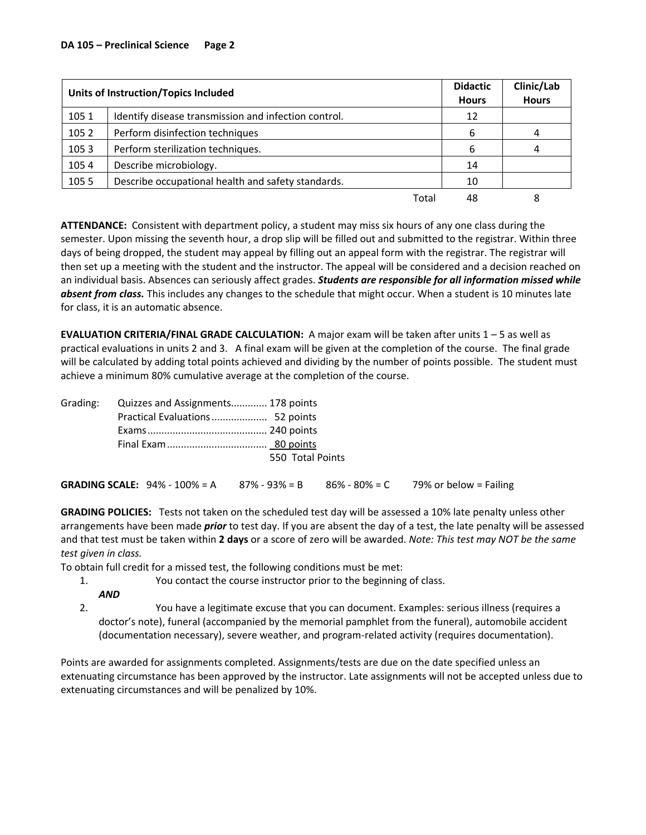| Units of Instruction/Topics Included |                                                      |    | Clinic/Lab<br><b>Hours</b> |
|--------------------------------------|------------------------------------------------------|----|----------------------------|
| 105 1                                | Identify disease transmission and infection control. | 12 |                            |
| 105 2                                | Perform disinfection techniques                      | 6  |                            |
| 1053                                 | Perform sterilization techniques.                    | 6  |                            |
| 1054                                 | Describe microbiology.                               | 14 |                            |
| 105 5                                | Describe occupational health and safety standards.   | 10 |                            |
|                                      | Total                                                | 48 | 8                          |

**ATTENDANCE:** Consistent with department policy, a student may miss six hours of any one class during the semester. Upon missing the seventh hour, a drop slip will be filled out and submitted to the registrar. Within three days of being dropped, the student may appeal by filling out an appeal form with the registrar. The registrar will then set up a meeting with the student and the instructor. The appeal will be considered and a decision reached on an individual basis. Absences can seriously affect grades. *Students are responsible for all information missed while absent from class.* This includes any changes to the schedule that might occur. When a student is 10 minutes late for class, it is an automatic absence.

**EVALUATION CRITERIA/FINAL GRADE CALCULATION:** A major exam will be taken after units 1 – 5 as well as practical evaluations in units 2 and 3. A final exam will be given at the completion of the course. The final grade will be calculated by adding total points achieved and dividing by the number of points possible. The student must achieve a minimum 80% cumulative average at the completion of the course.

|  | Grading: Quizzes and Assignments 178 points |                  |
|--|---------------------------------------------|------------------|
|  |                                             |                  |
|  |                                             |                  |
|  |                                             |                  |
|  |                                             | 550 Total Points |
|  |                                             |                  |

**GRADING SCALE:** 94% - 100% = A  $87% - 93% = B$   $86% - 80% = C$  79% or below = Failing

**GRADING POLICIES:** Tests not taken on the scheduled test day will be assessed a 10% late penalty unless other arrangements have been made *prior* to test day. If you are absent the day of a test, the late penalty will be assessed and that test must be taken within **2 days** or a score of zero will be awarded. *Note: This test may NOT be the same test given in class.* 

To obtain full credit for a missed test, the following conditions must be met:

- 1. You contact the course instructor prior to the beginning of class.
	- *AND*
- 2. You have a legitimate excuse that you can document. Examples: serious illness (requires a doctor's note), funeral (accompanied by the memorial pamphlet from the funeral), automobile accident (documentation necessary), severe weather, and program-related activity (requires documentation).

Points are awarded for assignments completed. Assignments/tests are due on the date specified unless an extenuating circumstance has been approved by the instructor. Late assignments will not be accepted unless due to extenuating circumstances and will be penalized by 10%.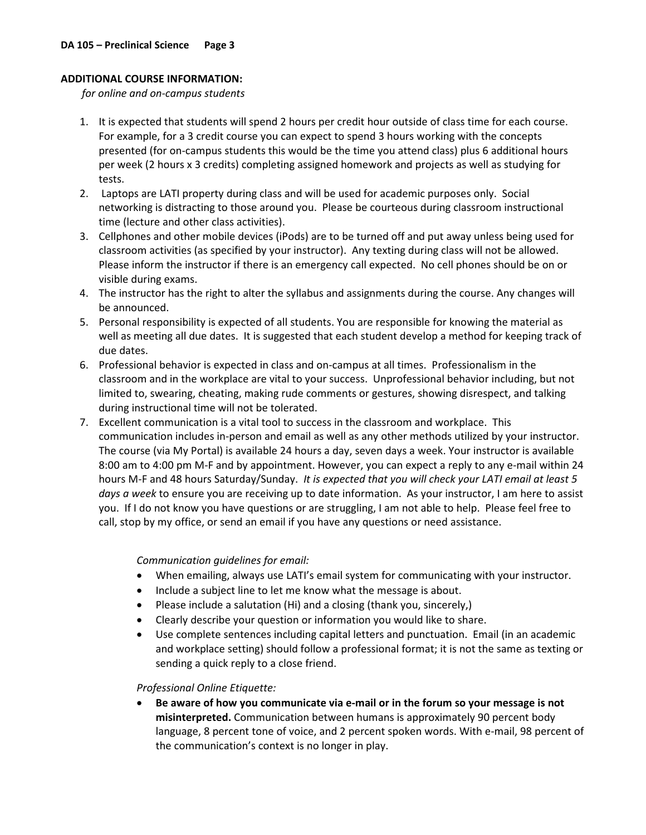## **ADDITIONAL COURSE INFORMATION:**

*for online and on-campus students* 

- 1. It is expected that students will spend 2 hours per credit hour outside of class time for each course. For example, for a 3 credit course you can expect to spend 3 hours working with the concepts presented (for on-campus students this would be the time you attend class) plus 6 additional hours per week (2 hours x 3 credits) completing assigned homework and projects as well as studying for tests.
- 2. Laptops are LATI property during class and will be used for academic purposes only. Social networking is distracting to those around you. Please be courteous during classroom instructional time (lecture and other class activities).
- 3. Cellphones and other mobile devices (iPods) are to be turned off and put away unless being used for classroom activities (as specified by your instructor). Any texting during class will not be allowed. Please inform the instructor if there is an emergency call expected. No cell phones should be on or visible during exams.
- 4. The instructor has the right to alter the syllabus and assignments during the course. Any changes will be announced.
- 5. Personal responsibility is expected of all students. You are responsible for knowing the material as well as meeting all due dates. It is suggested that each student develop a method for keeping track of due dates.
- 6. Professional behavior is expected in class and on-campus at all times. Professionalism in the classroom and in the workplace are vital to your success. Unprofessional behavior including, but not limited to, swearing, cheating, making rude comments or gestures, showing disrespect, and talking during instructional time will not be tolerated.
- 7. Excellent communication is a vital tool to success in the classroom and workplace. This communication includes in-person and email as well as any other methods utilized by your instructor. The course (via My Portal) is available 24 hours a day, seven days a week. Your instructor is available 8:00 am to 4:00 pm M-F and by appointment. However, you can expect a reply to any e-mail within 24 hours M-F and 48 hours Saturday/Sunday. *It is expected that you will check your LATI email at least 5 days a week* to ensure you are receiving up to date information. As your instructor, I am here to assist you. If I do not know you have questions or are struggling, I am not able to help. Please feel free to call, stop by my office, or send an email if you have any questions or need assistance.

*Communication guidelines for email:* 

- When emailing, always use LATI's email system for communicating with your instructor.
- Include a subject line to let me know what the message is about.
- Please include a salutation (Hi) and a closing (thank you, sincerely,)
- Clearly describe your question or information you would like to share.
- Use complete sentences including capital letters and punctuation. Email (in an academic and workplace setting) should follow a professional format; it is not the same as texting or sending a quick reply to a close friend.

#### *Professional Online Etiquette:*

• **Be aware of how you communicate via e-mail or in the forum so your message is not misinterpreted.** Communication between humans is approximately 90 percent body language, 8 percent tone of voice, and 2 percent spoken words. With e-mail, 98 percent of the communication's context is no longer in play.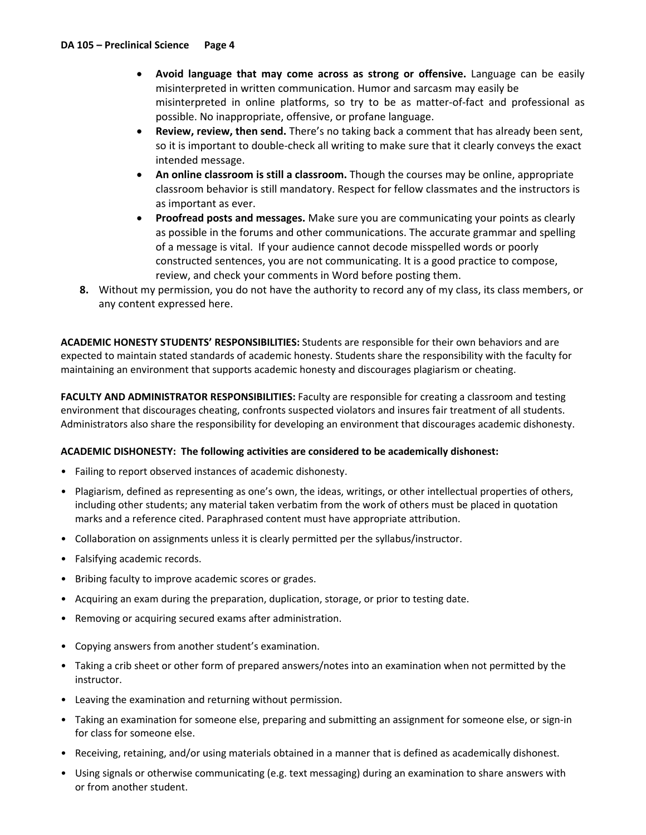- **Avoid language that may come across as strong or offensive.** Language can be easily misinterpreted in written communication. Humor and sarcasm may easily be misinterpreted in online platforms, so try to be as matter-of-fact and professional as possible. No inappropriate, offensive, or profane language.
- **Review, review, then send.** There's no taking back a comment that has already been sent, so it is important to double-check all writing to make sure that it clearly conveys the exact intended message.
- **An online classroom is still a classroom.** Though the courses may be online, appropriate classroom behavior is still mandatory. Respect for fellow classmates and the instructors is as important as ever.
- **Proofread posts and messages.** Make sure you are communicating your points as clearly as possible in the forums and other communications. The accurate grammar and spelling of a message is vital. If your audience cannot decode misspelled words or poorly constructed sentences, you are not communicating. It is a good practice to compose, review, and check your comments in Word before posting them.
- **8.** Without my permission, you do not have the authority to record any of my class, its class members, or any content expressed here.

**ACADEMIC HONESTY STUDENTS' RESPONSIBILITIES:** Students are responsible for their own behaviors and are expected to maintain stated standards of academic honesty. Students share the responsibility with the faculty for maintaining an environment that supports academic honesty and discourages plagiarism or cheating.

**FACULTY AND ADMINISTRATOR RESPONSIBILITIES:** Faculty are responsible for creating a classroom and testing environment that discourages cheating, confronts suspected violators and insures fair treatment of all students. Administrators also share the responsibility for developing an environment that discourages academic dishonesty.

# **ACADEMIC DISHONESTY: The following activities are considered to be academically dishonest:**

- Failing to report observed instances of academic dishonesty.
- Plagiarism, defined as representing as one's own, the ideas, writings, or other intellectual properties of others, including other students; any material taken verbatim from the work of others must be placed in quotation marks and a reference cited. Paraphrased content must have appropriate attribution.
- Collaboration on assignments unless it is clearly permitted per the syllabus/instructor.
- Falsifying academic records.
- Bribing faculty to improve academic scores or grades.
- Acquiring an exam during the preparation, duplication, storage, or prior to testing date.
- Removing or acquiring secured exams after administration.
- Copying answers from another student's examination.
- Taking a crib sheet or other form of prepared answers/notes into an examination when not permitted by the instructor.
- Leaving the examination and returning without permission.
- Taking an examination for someone else, preparing and submitting an assignment for someone else, or sign-in for class for someone else.
- Receiving, retaining, and/or using materials obtained in a manner that is defined as academically dishonest.
- Using signals or otherwise communicating (e.g. text messaging) during an examination to share answers with or from another student.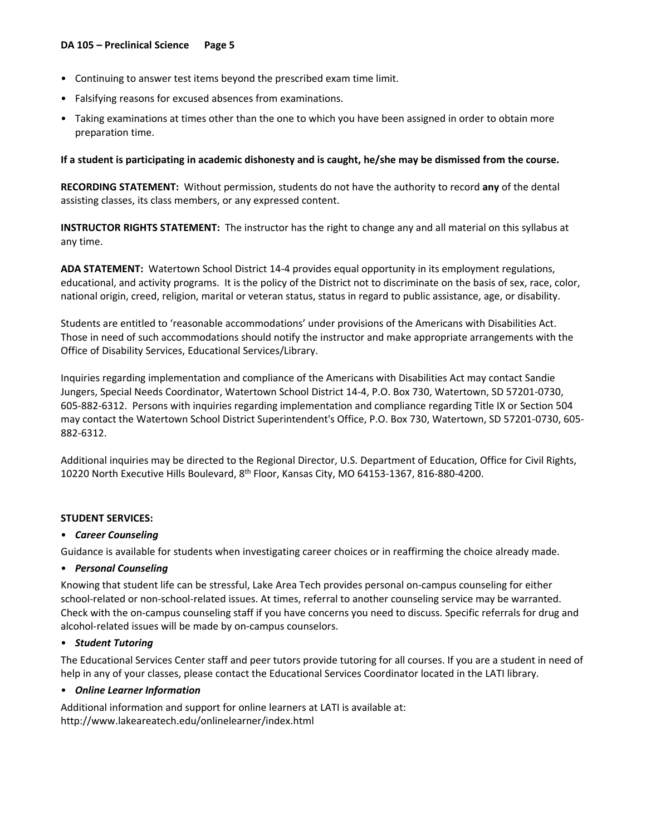- Continuing to answer test items beyond the prescribed exam time limit.
- Falsifying reasons for excused absences from examinations.
- Taking examinations at times other than the one to which you have been assigned in order to obtain more preparation time.

### **If a student is participating in academic dishonesty and is caught, he/she may be dismissed from the course.**

**RECORDING STATEMENT:** Without permission, students do not have the authority to record **any** of the dental assisting classes, its class members, or any expressed content.

**INSTRUCTOR RIGHTS STATEMENT:** The instructor has the right to change any and all material on this syllabus at any time.

**ADA STATEMENT:** Watertown School District 14-4 provides equal opportunity in its employment regulations, educational, and activity programs. It is the policy of the District not to discriminate on the basis of sex, race, color, national origin, creed, religion, marital or veteran status, status in regard to public assistance, age, or disability.

Students are entitled to 'reasonable accommodations' under provisions of the Americans with Disabilities Act. Those in need of such accommodations should notify the instructor and make appropriate arrangements with the Office of Disability Services, Educational Services/Library.

Inquiries regarding implementation and compliance of the Americans with Disabilities Act may contact Sandie Jungers, Special Needs Coordinator, Watertown School District 14-4, P.O. Box 730, Watertown, SD 57201-0730, 605-882-6312. Persons with inquiries regarding implementation and compliance regarding Title IX or Section 504 may contact the Watertown School District Superintendent's Office, P.O. Box 730, Watertown, SD 57201-0730, 605- 882-6312.

Additional inquiries may be directed to the Regional Director, U.S. Department of Education, Office for Civil Rights, 10220 North Executive Hills Boulevard, 8th Floor, Kansas City, MO 64153-1367, 816-880-4200.

# **STUDENT SERVICES:**

#### • *Career Counseling*

Guidance is available for students when investigating career choices or in reaffirming the choice already made.

#### • *Personal Counseling*

Knowing that student life can be stressful, Lake Area Tech provides personal on-campus counseling for either school-related or non-school-related issues. At times, referral to another counseling service may be warranted. Check with the on-campus counseling staff if you have concerns you need to discuss. Specific referrals for drug and alcohol-related issues will be made by on-campus counselors.

## • *Student Tutoring*

The Educational Services Center staff and peer tutors provide tutoring for all courses. If you are a student in need of help in any of your classes, please contact the Educational Services Coordinator located in the LATI library.

#### • *Online Learner Information*

Additional information and support for online learners at LATI is available at: http://www.lakeareatech.edu/onlinelearner/index.html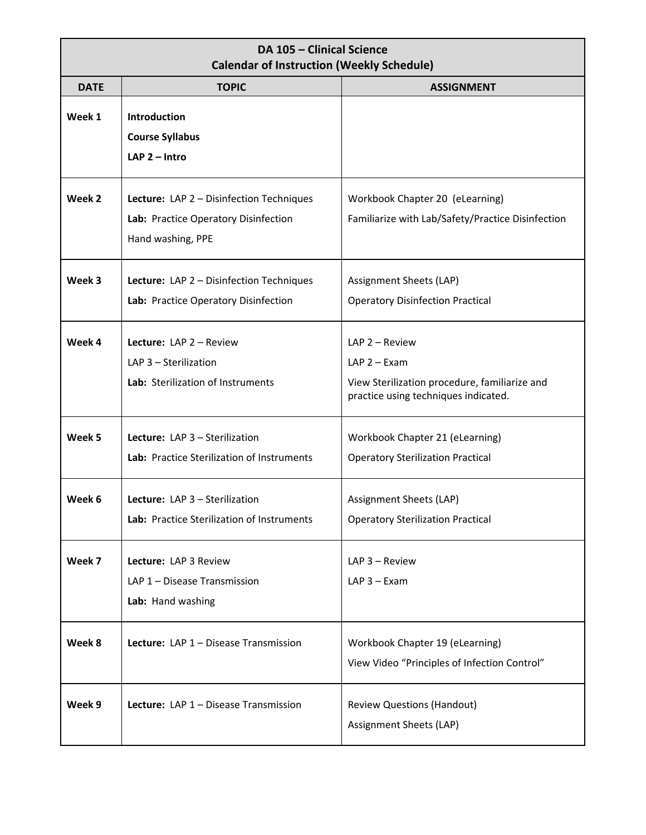# **DA 105 – Clinical Science Calendar of Instruction (Weekly Schedule)**

| Calendar of Instruction (Weekly Schedule) |                                                                                                       |                                                                                                                             |  |  |
|-------------------------------------------|-------------------------------------------------------------------------------------------------------|-----------------------------------------------------------------------------------------------------------------------------|--|--|
| <b>DATE</b>                               | <b>TOPIC</b>                                                                                          | <b>ASSIGNMENT</b>                                                                                                           |  |  |
| Week 1                                    | <b>Introduction</b><br><b>Course Syllabus</b><br>LAP $2$ – Intro                                      |                                                                                                                             |  |  |
| Week 2                                    | Lecture: LAP 2 - Disinfection Techniques<br>Lab: Practice Operatory Disinfection<br>Hand washing, PPE | Workbook Chapter 20 (eLearning)<br>Familiarize with Lab/Safety/Practice Disinfection                                        |  |  |
| Week 3                                    | Lecture: LAP 2 - Disinfection Techniques<br>Lab: Practice Operatory Disinfection                      | Assignment Sheets (LAP)<br><b>Operatory Disinfection Practical</b>                                                          |  |  |
| Week 4                                    | Lecture: LAP 2 - Review<br>LAP 3 - Sterilization<br>Lab: Sterilization of Instruments                 | $LAP$ 2 – Review<br>$LAP$ 2 – Exam<br>View Sterilization procedure, familiarize and<br>practice using techniques indicated. |  |  |
| Week 5                                    | Lecture: LAP 3 - Sterilization<br>Lab: Practice Sterilization of Instruments                          | Workbook Chapter 21 (eLearning)<br><b>Operatory Sterilization Practical</b>                                                 |  |  |
| Week 6                                    | Lecture: LAP 3 - Sterilization<br>Lab: Practice Sterilization of Instruments                          | Assignment Sheets (LAP)<br><b>Operatory Sterilization Practical</b>                                                         |  |  |
| Week 7                                    | Lecture: LAP 3 Review<br>LAP 1 - Disease Transmission<br>Lab: Hand washing                            | $LAP$ 3 – Review<br>$LAP$ 3 – Exam                                                                                          |  |  |
| Week 8                                    | <b>Lecture:</b> LAP 1 - Disease Transmission                                                          | Workbook Chapter 19 (eLearning)<br>View Video "Principles of Infection Control"                                             |  |  |
| Week 9                                    | Lecture: LAP 1 - Disease Transmission                                                                 | <b>Review Questions (Handout)</b><br>Assignment Sheets (LAP)                                                                |  |  |